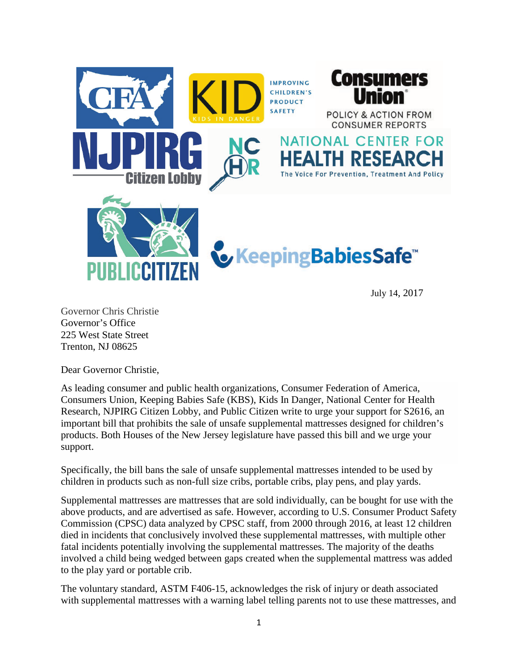

July 14, 2017

Governor Chris Christie Governor's Office 225 West State Street Trenton, NJ 08625

Dear Governor Christie,

As leading consumer and public health organizations, Consumer Federation of America, Consumers Union, Keeping Babies Safe (KBS), Kids In Danger, National Center for Health Research, NJPIRG Citizen Lobby, and Public Citizen write to urge your support for S2616, an important bill that prohibits the sale of unsafe supplemental mattresses designed for children's products. Both Houses of the New Jersey legislature have passed this bill and we urge your support.

Specifically, the bill bans the sale of unsafe supplemental mattresses intended to be used by children in products such as non-full size cribs, portable cribs, play pens, and play yards.

Supplemental mattresses are mattresses that are sold individually, can be bought for use with the above products, and are advertised as safe. However, according to U.S. Consumer Product Safety Commission (CPSC) data analyzed by CPSC staff, from 2000 through 2016, at least 12 children died in incidents that conclusively involved these supplemental mattresses, with multiple other fatal incidents potentially involving the supplemental mattresses. The majority of the deaths involved a child being wedged between gaps created when the supplemental mattress was added to the play yard or portable crib.

The voluntary standard, ASTM F406-15, acknowledges the risk of injury or death associated with supplemental mattresses with a warning label telling parents not to use these mattresses, and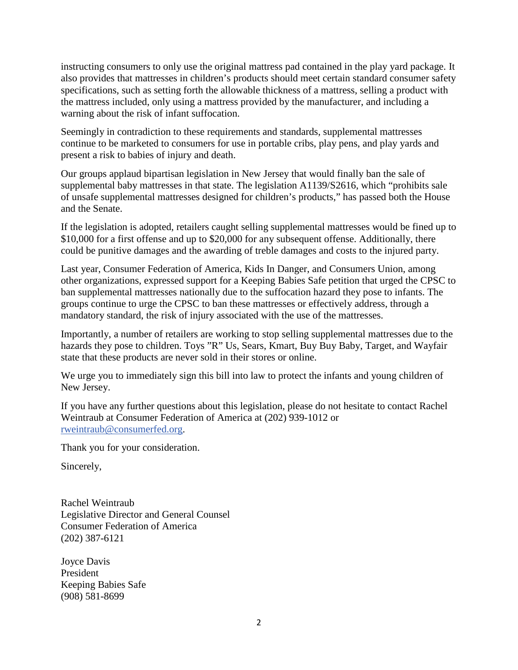instructing consumers to only use the original mattress pad contained in the play yard package. It also provides that mattresses in children's products should meet certain standard consumer safety specifications, such as setting forth the allowable thickness of a mattress, selling a product with the mattress included, only using a mattress provided by the manufacturer, and including a warning about the risk of infant suffocation.

Seemingly in contradiction to these requirements and standards, supplemental mattresses continue to be marketed to consumers for use in portable cribs, play pens, and play yards and present a risk to babies of injury and death.

Our groups applaud bipartisan legislation in New Jersey that would finally ban the sale of supplemental baby mattresses in that state. The legislation A1139/S2616, which "prohibits sale of unsafe supplemental mattresses designed for children's products," has passed both the House and the Senate.

If the legislation is adopted, retailers caught selling supplemental mattresses would be fined up to \$10,000 for a first offense and up to \$20,000 for any subsequent offense. Additionally, there could be punitive damages and the awarding of treble damages and costs to the injured party.

Last year, Consumer Federation of America, Kids In Danger, and Consumers Union, among other organizations, expressed support for a Keeping Babies Safe petition that urged the CPSC to ban supplemental mattresses nationally due to the suffocation hazard they pose to infants. The groups continue to urge the CPSC to ban these mattresses or effectively address, through a mandatory standard, the risk of injury associated with the use of the mattresses.

Importantly, a number of retailers are working to stop selling supplemental mattresses due to the hazards they pose to children. Toys "R" Us, Sears, Kmart, Buy Buy Baby, Target, and Wayfair state that these products are never sold in their stores or online.

We urge you to immediately sign this bill into law to protect the infants and young children of New Jersey.

If you have any further questions about this legislation, please do not hesitate to contact Rachel Weintraub at Consumer Federation of America at (202) 939-1012 or [rweintraub@consumerfed.org.](mailto:rweintraub@consumerfed.org)

Thank you for your consideration.

Sincerely,

Rachel Weintraub Legislative Director and General Counsel Consumer Federation of America (202) 387-6121

Joyce Davis President Keeping Babies Safe (908) 581-8699